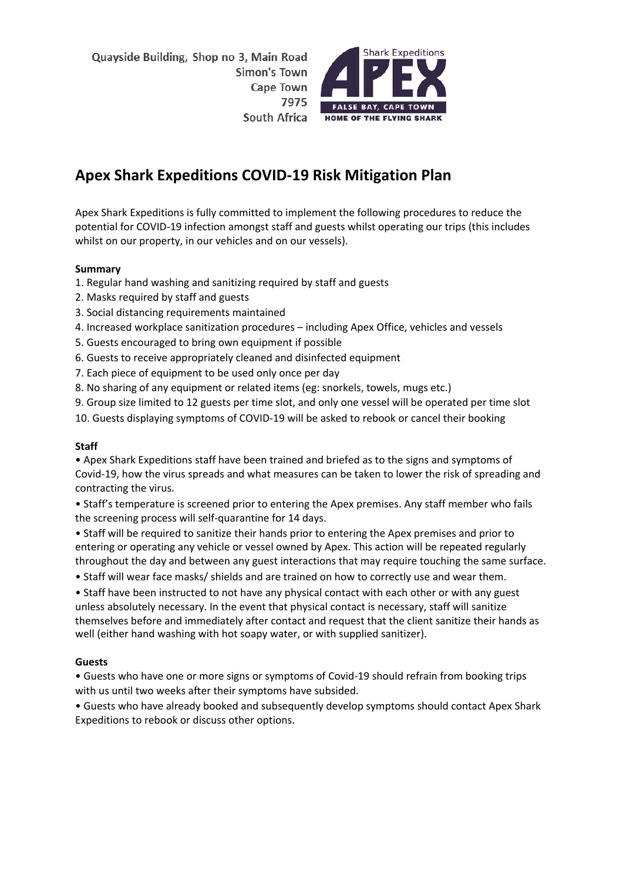

# **Apex Shark Expeditions COVID-19 Risk Mitigation Plan**

Apex Shark Expeditions is fully committed to implement the following procedures to reduce the potential for COVID-19 infection amongst staff and guests whilst operating our trips (this includes whilst on our property, in our vehicles and on our vessels).

# **Summary**

- 1. Regular hand washing and sanitizing required by staff and guests
- 2. Masks required by staff and guests
- 3. Social distancing requirements maintained
- 4. Increased workplace sanitization procedures including Apex Office, vehicles and vessels
- 5. Guests encouraged to bring own equipment if possible
- 6. Guests to receive appropriately cleaned and disinfected equipment
- 7. Each piece of equipment to be used only once per day
- 8. No sharing of any equipment or related items (eg: snorkels, towels, mugs etc.)
- 9. Group size limited to 12 guests per time slot, and only one vessel will be operated per time slot
- 10. Guests displaying symptoms of COVID-19 will be asked to rebook or cancel their booking

# **Staff**

• Apex Shark Expeditions staff have been trained and briefed as to the signs and symptoms of Covid-19, how the virus spreads and what measures can be taken to lower the risk of spreading and contracting the virus.

• Staff's temperature is screened prior to entering the Apex premises. Any staff member who fails the screening process will self-quarantine for 14 days.

• Staff will be required to sanitize their hands prior to entering the Apex premises and prior to entering or operating any vehicle or vessel owned by Apex. This action will be repeated regularly throughout the day and between any guest interactions that may require touching the same surface.

• Staff will wear face masks/ shields and are trained on how to correctly use and wear them.

• Staff have been instructed to not have any physical contact with each other or with any guest unless absolutely necessary. In the event that physical contact is necessary, staff will sanitize themselves before and immediately after contact and request that the client sanitize their hands as well (either hand washing with hot soapy water, or with supplied sanitizer).

# **Guests**

• Guests who have one or more signs or symptoms of Covid-19 should refrain from booking trips with us until two weeks after their symptoms have subsided.

• Guests who have already booked and subsequently develop symptoms should contact Apex Shark Expeditions to rebook or discuss other options.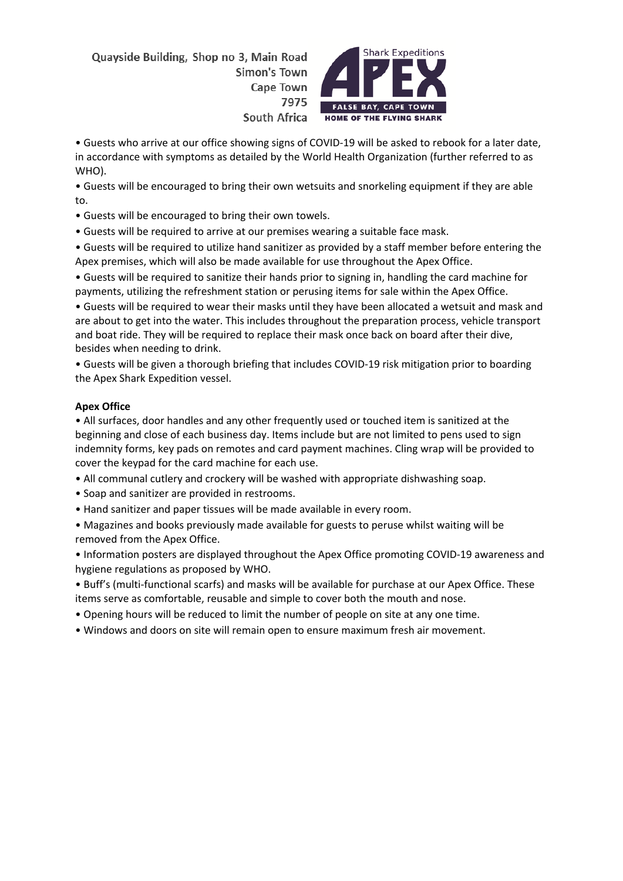

• Guests who arrive at our office showing signs of COVID-19 will be asked to rebook for a later date, in accordance with symptoms as detailed by the World Health Organization (further referred to as WHO).

• Guests will be encouraged to bring their own wetsuits and snorkeling equipment if they are able to.

• Guests will be encouraged to bring their own towels.

• Guests will be required to arrive at our premises wearing a suitable face mask.

• Guests will be required to utilize hand sanitizer as provided by a staff member before entering the Apex premises, which will also be made available for use throughout the Apex Office.

• Guests will be required to sanitize their hands prior to signing in, handling the card machine for payments, utilizing the refreshment station or perusing items for sale within the Apex Office.

• Guests will be required to wear their masks until they have been allocated a wetsuit and mask and are about to get into the water. This includes throughout the preparation process, vehicle transport and boat ride. They will be required to replace their mask once back on board after their dive, besides when needing to drink.

• Guests will be given a thorough briefing that includes COVID-19 risk mitigation prior to boarding the Apex Shark Expedition vessel.

# **Apex Office**

• All surfaces, door handles and any other frequently used or touched item is sanitized at the beginning and close of each business day. Items include but are not limited to pens used to sign indemnity forms, key pads on remotes and card payment machines. Cling wrap will be provided to cover the keypad for the card machine for each use.

- All communal cutlery and crockery will be washed with appropriate dishwashing soap.
- Soap and sanitizer are provided in restrooms.
- Hand sanitizer and paper tissues will be made available in every room.

• Magazines and books previously made available for guests to peruse whilst waiting will be removed from the Apex Office.

• Information posters are displayed throughout the Apex Office promoting COVID-19 awareness and hygiene regulations as proposed by WHO.

• Buff's (multi-functional scarfs) and masks will be available for purchase at our Apex Office. These items serve as comfortable, reusable and simple to cover both the mouth and nose.

• Opening hours will be reduced to limit the number of people on site at any one time.

• Windows and doors on site will remain open to ensure maximum fresh air movement.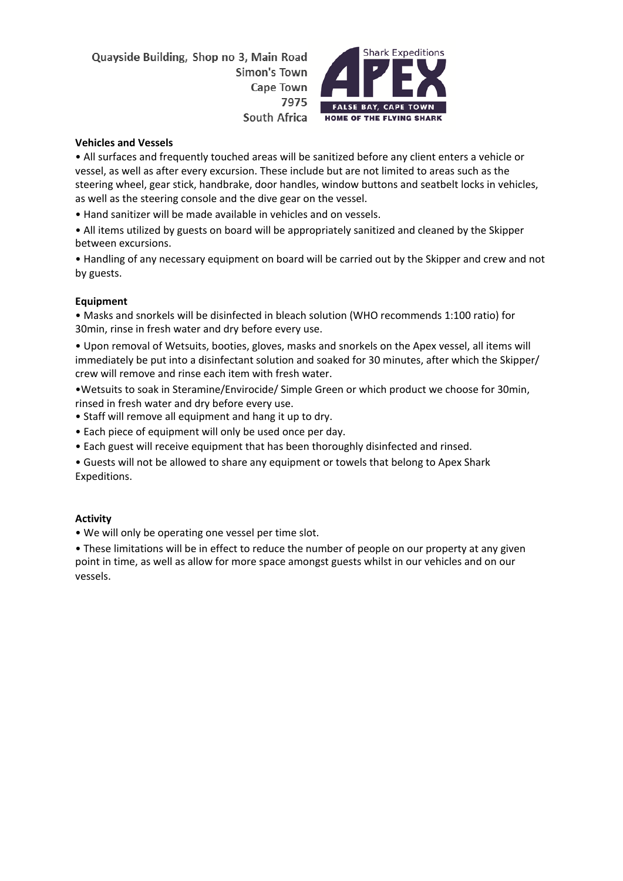

#### **Vehicles and Vessels**

• All surfaces and frequently touched areas will be sanitized before any client enters a vehicle or vessel, as well as after every excursion. These include but are not limited to areas such as the steering wheel, gear stick, handbrake, door handles, window buttons and seatbelt locks in vehicles, as well as the steering console and the dive gear on the vessel.

• Hand sanitizer will be made available in vehicles and on vessels.

• All items utilized by guests on board will be appropriately sanitized and cleaned by the Skipper between excursions.

• Handling of any necessary equipment on board will be carried out by the Skipper and crew and not by guests.

#### **Equipment**

• Masks and snorkels will be disinfected in bleach solution (WHO recommends 1:100 ratio) for 30min, rinse in fresh water and dry before every use.

• Upon removal of Wetsuits, booties, gloves, masks and snorkels on the Apex vessel, all items will immediately be put into a disinfectant solution and soaked for 30 minutes, after which the Skipper/ crew will remove and rinse each item with fresh water.

•Wetsuits to soak in Steramine/Envirocide/ Simple Green or which product we choose for 30min, rinsed in fresh water and dry before every use.

- Staff will remove all equipment and hang it up to dry.
- Each piece of equipment will only be used once per day.
- Each guest will receive equipment that has been thoroughly disinfected and rinsed.

• Guests will not be allowed to share any equipment or towels that belong to Apex Shark Expeditions.

#### **Activity**

• We will only be operating one vessel per time slot.

• These limitations will be in effect to reduce the number of people on our property at any given point in time, as well as allow for more space amongst guests whilst in our vehicles and on our vessels.